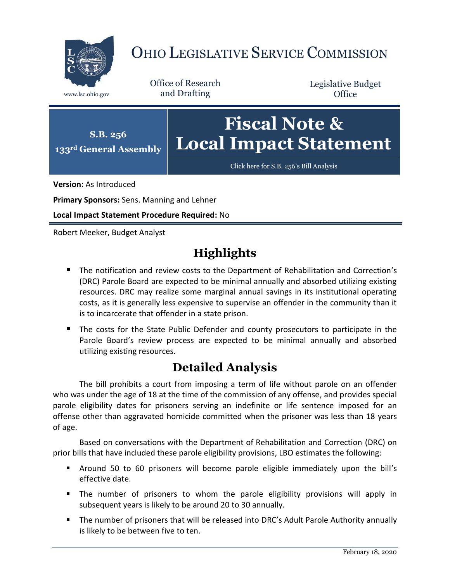

## OHIO LEGISLATIVE SERVICE COMMISSION

Office of Research www.lsc.ohio.gov and Drafting

Legislative Budget **Office** 



**Version:** As Introduced

**Primary Sponsors:** Sens. Manning and Lehner

**Local Impact Statement Procedure Required:** No

Robert Meeker, Budget Analyst

## **Highlights**

- **The notification and review costs to the Department of Rehabilitation and Correction's** (DRC) Parole Board are expected to be minimal annually and absorbed utilizing existing resources. DRC may realize some marginal annual savings in its institutional operating costs, as it is generally less expensive to supervise an offender in the community than it is to incarcerate that offender in a state prison.
- The costs for the State Public Defender and county prosecutors to participate in the Parole Board's review process are expected to be minimal annually and absorbed utilizing existing resources.

## **Detailed Analysis**

The bill prohibits a court from imposing a term of life without parole on an offender who was under the age of 18 at the time of the commission of any offense, and provides special parole eligibility dates for prisoners serving an indefinite or life sentence imposed for an offense other than aggravated homicide committed when the prisoner was less than 18 years of age.

Based on conversations with the Department of Rehabilitation and Correction (DRC) on prior bills that have included these parole eligibility provisions, LBO estimates the following:

- Around 50 to 60 prisoners will become parole eligible immediately upon the bill's effective date.
- The number of prisoners to whom the parole eligibility provisions will apply in subsequent years is likely to be around 20 to 30 annually.
- The number of prisoners that will be released into DRC's Adult Parole Authority annually is likely to be between five to ten.